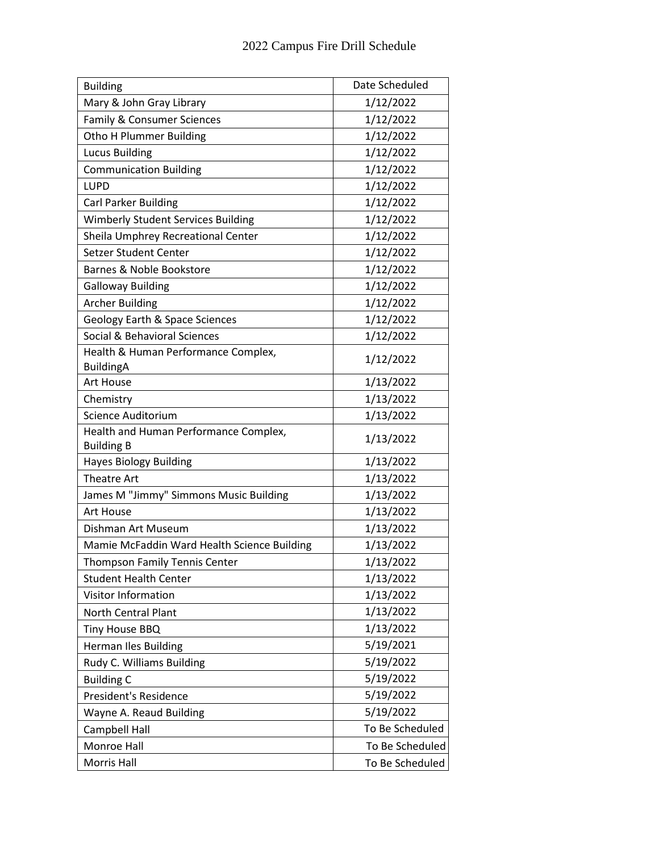| <b>Building</b>                             | Date Scheduled  |
|---------------------------------------------|-----------------|
| Mary & John Gray Library                    | 1/12/2022       |
| Family & Consumer Sciences                  | 1/12/2022       |
| Otho H Plummer Building                     | 1/12/2022       |
| <b>Lucus Building</b>                       | 1/12/2022       |
| <b>Communication Building</b>               | 1/12/2022       |
| <b>LUPD</b>                                 | 1/12/2022       |
| <b>Carl Parker Building</b>                 | 1/12/2022       |
| <b>Wimberly Student Services Building</b>   | 1/12/2022       |
| Sheila Umphrey Recreational Center          | 1/12/2022       |
| Setzer Student Center                       | 1/12/2022       |
| Barnes & Noble Bookstore                    | 1/12/2022       |
| <b>Galloway Building</b>                    | 1/12/2022       |
| <b>Archer Building</b>                      | 1/12/2022       |
| <b>Geology Earth &amp; Space Sciences</b>   | 1/12/2022       |
| Social & Behavioral Sciences                | 1/12/2022       |
| Health & Human Performance Complex,         | 1/12/2022       |
| <b>BuildingA</b><br>Art House               | 1/13/2022       |
|                                             |                 |
| Chemistry<br>Science Auditorium             | 1/13/2022       |
| Health and Human Performance Complex,       | 1/13/2022       |
| <b>Building B</b>                           | 1/13/2022       |
| <b>Hayes Biology Building</b>               | 1/13/2022       |
| <b>Theatre Art</b>                          | 1/13/2022       |
| James M "Jimmy" Simmons Music Building      | 1/13/2022       |
| Art House                                   | 1/13/2022       |
| Dishman Art Museum                          | 1/13/2022       |
| Mamie McFaddin Ward Health Science Building | 1/13/2022       |
| <b>Thompson Family Tennis Center</b>        | 1/13/2022       |
| <b>Student Health Center</b>                | 1/13/2022       |
| <b>Visitor Information</b>                  | 1/13/2022       |
| <b>North Central Plant</b>                  | 1/13/2022       |
| Tiny House BBQ                              | 1/13/2022       |
| Herman Iles Building                        | 5/19/2021       |
| Rudy C. Williams Building                   | 5/19/2022       |
| <b>Building C</b>                           | 5/19/2022       |
| President's Residence                       | 5/19/2022       |
| Wayne A. Reaud Building                     | 5/19/2022       |
| Campbell Hall                               | To Be Scheduled |
| Monroe Hall                                 | To Be Scheduled |
| Morris Hall                                 | To Be Scheduled |